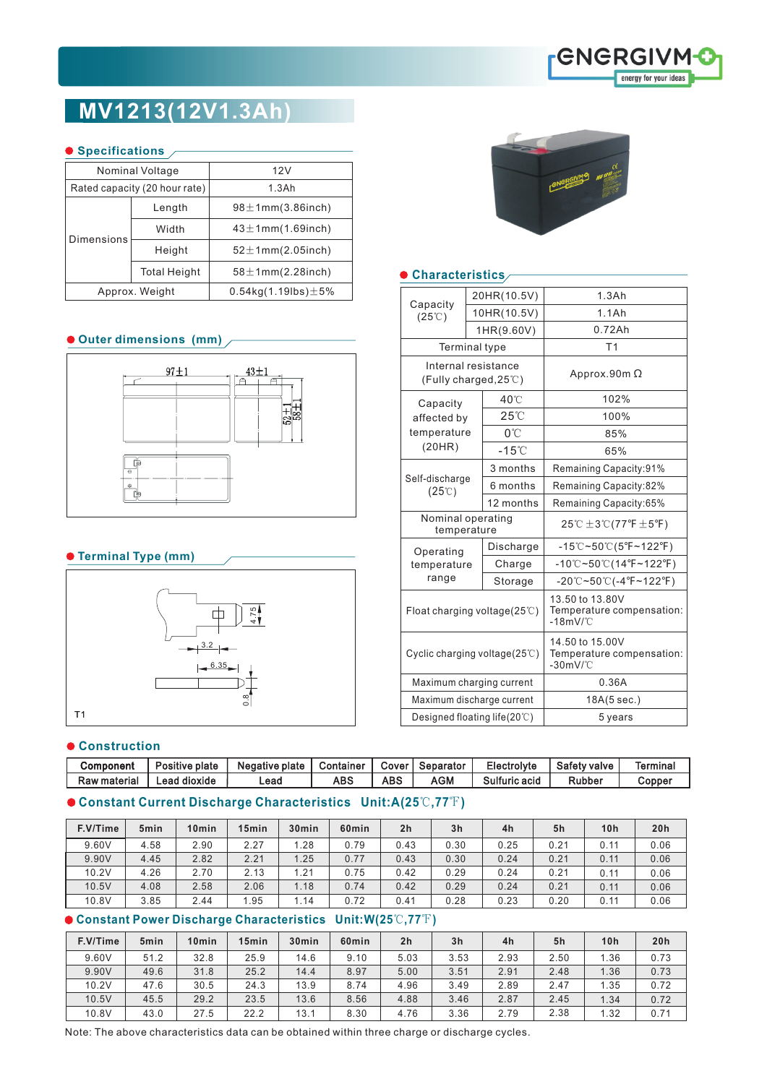

# **MV1213(12V1.3Ah)**

#### **O** Specifications /

|            | Nominal Voltage               | 12V                              |  |  |  |  |
|------------|-------------------------------|----------------------------------|--|--|--|--|
|            | Rated capacity (20 hour rate) | 1.3Ah                            |  |  |  |  |
| Dimensions | Length                        | $98 \pm 1$ mm $(3.86$ inch)      |  |  |  |  |
|            | Width                         | $43 \pm 1$ mm $(1.69$ inch)      |  |  |  |  |
|            | Height                        | $52 \pm 1$ mm $(2.05$ inch)      |  |  |  |  |
|            | <b>Total Height</b>           | $58 \pm 1$ mm $(2.28$ inch)      |  |  |  |  |
|            | Approx. Weight                | $0.54$ kg $(1.19$ lbs $)\pm 5\%$ |  |  |  |  |

# **Outer dimensions (mm)**



# **Terminal Type (mm)**



#### $\bullet$  Construction

| Component    | Positive plate      | Negative plate | Container  | Cover | Separator | Electrolyte   | <b>Safety valve</b> | Termina |
|--------------|---------------------|----------------|------------|-------|-----------|---------------|---------------------|---------|
| Raw material | <b>Lead dioxide</b> | Lead           | <b>ABS</b> | ABS   | AGM       | Sulfuric acid | <b>Rubber</b>       | Copper  |

# **Constant Current Discharge Characteristics Unit:A(25**℃**,77**℉**)**

| F.V/Time | 5 <sub>min</sub> | 10 <sub>min</sub> | 15 <sub>min</sub> | 30 <sub>min</sub> | 60 <sub>min</sub> | 2 <sub>h</sub> | 3 <sub>h</sub> | 4h   | 5h   | 10 <sub>h</sub> | 20h  |
|----------|------------------|-------------------|-------------------|-------------------|-------------------|----------------|----------------|------|------|-----------------|------|
| 9.60V    | 4.58             | 2.90              | 2.27              | 1.28              | 0.79              | 0.43           | 0.30           | 0.25 | 0.21 | 0.11            | 0.06 |
| 9.90V    | 4.45             | 2.82              | 2.21              | 1.25              | 0.77              | 0.43           | 0.30           | 0.24 | 0.21 | 0.11            | 0.06 |
| 10.2V    | 4.26             | 2.70              | 2.13              | 1.21              | 0.75              | 0.42           | 0.29           | 0.24 | 0.21 | 0.11            | 0.06 |
| 10.5V    | 4.08             | 2.58              | 2.06              | 1.18              | 0.74              | 0.42           | 0.29           | 0.24 | 0.21 | 0.11            | 0.06 |
| 10.8V    | 3.85             | 2.44              | 1.95              | 1.14              | 0.72              | 0.41           | 0.28           | 0.23 | 0.20 | 0.11            | 0.06 |

# **Constant Power Discharge Characteristics Unit:W(25**℃**,77**℉**)**

| F.V/Time | 5 <sub>min</sub> | 10 <sub>min</sub> | 15 <sub>min</sub> | 30 <sub>min</sub> | 60 <sub>min</sub> | 2 <sub>h</sub> | 3 <sub>h</sub> | 4h   | 5h   | 10 <sub>h</sub> | 20h  |
|----------|------------------|-------------------|-------------------|-------------------|-------------------|----------------|----------------|------|------|-----------------|------|
| 9.60V    | 51.2             | 32.8              | 25.9              | 14.6              | 9.10              | 5.03           | 3.53           | 2.93 | 2.50 | 1.36            | 0.73 |
| 9.90V    | 49.6             | 31.8              | 25.2              | 14.4              | 8.97              | 5.00           | 3.51           | 2.91 | 2.48 | 1.36            | 0.73 |
| 10.2V    | 47.6             | 30.5              | 24.3              | 13.9              | 8.74              | 4.96           | 3.49           | 2.89 | 2.47 | 1.35            | 0.72 |
| 10.5V    | 45.5             | 29.2              | 23.5              | 13.6              | 8.56              | 4.88           | 3.46           | 2.87 | 2.45 | 1.34            | 0.72 |
| 10.8V    | 43.0             | 27.5              | 22.2              | 13.1              | 8.30              | 4.76           | 3.36           | 2.79 | 2.38 | 1.32            | 0.71 |

Note: The above characteristics data can be obtained within three charge or discharge cycles.



# $\bullet$  Characteristics<sub>/</sub>

| Capacity<br>$(25^{\circ}\text{C})$           |  | 20HR(10.5V)     | 1.3Ah                                                                           |  |  |  |  |
|----------------------------------------------|--|-----------------|---------------------------------------------------------------------------------|--|--|--|--|
|                                              |  | 10HR(10.5V)     | 1.1Ah                                                                           |  |  |  |  |
|                                              |  | 1HR(9.60V)      | 0.72Ah                                                                          |  |  |  |  |
| <b>Terminal type</b>                         |  |                 | T <sub>1</sub>                                                                  |  |  |  |  |
| Internal resistance<br>(Fully charged, 25°C) |  |                 | Approx.90m $\Omega$                                                             |  |  |  |  |
| Capacity                                     |  | 40°C            | 102%                                                                            |  |  |  |  |
| affected by                                  |  | $25^{\circ}$    | 100%                                                                            |  |  |  |  |
| temperature                                  |  | $0^{\circ}$ C   | 85%                                                                             |  |  |  |  |
| (20HR)                                       |  | $-15^{\circ}$ C | 65%                                                                             |  |  |  |  |
|                                              |  | 3 months        | Remaining Capacity:91%                                                          |  |  |  |  |
| Self-discharge<br>$(25^\circ\text{C})$       |  | 6 months        | Remaining Capacity:82%                                                          |  |  |  |  |
|                                              |  | 12 months       | Remaining Capacity:65%                                                          |  |  |  |  |
| Nominal operating<br>temperature             |  |                 | 25℃ $\pm$ 3℃(77℉ $\pm$ 5℉)                                                      |  |  |  |  |
| Operating                                    |  | Discharge       | $-15^{\circ}\text{C}-50^{\circ}\text{C}(5^{\circ}\text{F}-122^{\circ}\text{F})$ |  |  |  |  |
| temperature                                  |  | Charge          | $-10^{\circ}$ C~50 $^{\circ}$ C(14°F~122°F)                                     |  |  |  |  |
| range                                        |  | Storage         | $-20^{\circ}$ C ~ 50 $^{\circ}$ C (-4 $^{\circ}$ F ~ 122 $^{\circ}$ F)          |  |  |  |  |
| Float charging voltage(25°C)                 |  |                 | 13.50 to 13.80V<br>Temperature compensation:<br>$-18$ m $V$ /°C                 |  |  |  |  |
| Cyclic charging voltage $(25^{\circ}C)$      |  |                 | 14.50 to 15.00V<br>Temperature compensation:<br>$-30$ m $V$ /°C                 |  |  |  |  |
| Maximum charging current                     |  |                 | 0.36A                                                                           |  |  |  |  |
| Maximum discharge current                    |  |                 | 18A(5 sec.)                                                                     |  |  |  |  |
| Designed floating life(20℃)                  |  |                 | 5 years                                                                         |  |  |  |  |